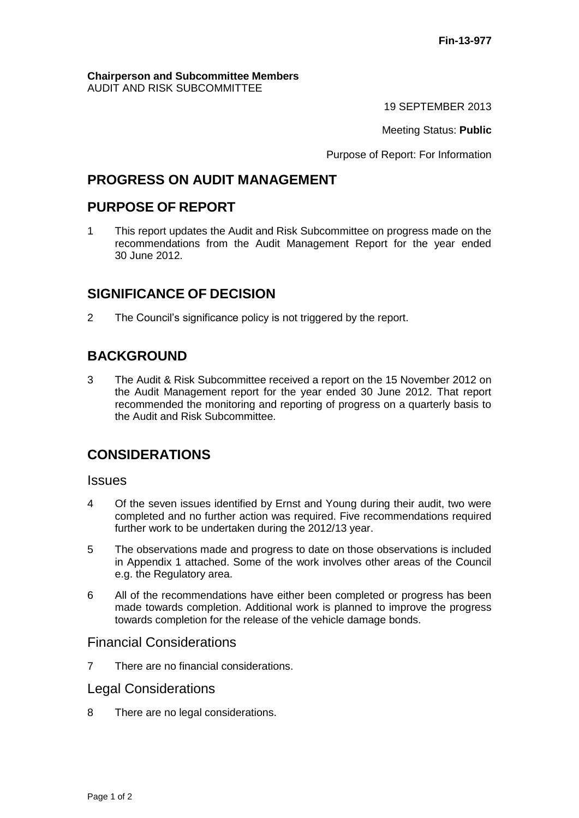#### **Chairperson and Subcommittee Members** AUDIT AND RISK SUBCOMMITTEE

19 SEPTEMBER 2013

Meeting Status: **Public**

Purpose of Report: For Information

## **PROGRESS ON AUDIT MANAGEMENT**

## **PURPOSE OF REPORT**

1 This report updates the Audit and Risk Subcommittee on progress made on the recommendations from the Audit Management Report for the year ended 30 June 2012.

## **SIGNIFICANCE OF DECISION**

2 The Council's significance policy is not triggered by the report.

# **BACKGROUND**

3 The Audit & Risk Subcommittee received a report on the 15 November 2012 on the Audit Management report for the year ended 30 June 2012. That report recommended the monitoring and reporting of progress on a quarterly basis to the Audit and Risk Subcommittee.

## **CONSIDERATIONS**

### **Issues**

- 4 Of the seven issues identified by Ernst and Young during their audit, two were completed and no further action was required. Five recommendations required further work to be undertaken during the 2012/13 year.
- 5 The observations made and progress to date on those observations is included in Appendix 1 attached. Some of the work involves other areas of the Council e.g. the Regulatory area.
- 6 All of the recommendations have either been completed or progress has been made towards completion. Additional work is planned to improve the progress towards completion for the release of the vehicle damage bonds.

### Financial Considerations

7 There are no financial considerations.

### Legal Considerations

8 There are no legal considerations.